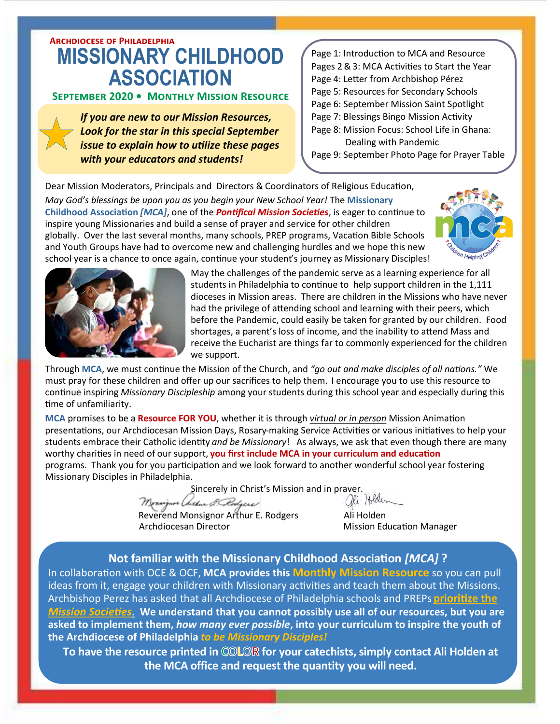## **Archdiocese of Philadelphia MISSIONARY CHILDHOOD ASSOCIATION**

#### **September 2020 • Monthly Mission Resource**

*If you are new to our Mission Resources, Look for the star in this special September issue to explain how to utilize these pages with your educators and students!*

Page 1: Introduction to MCA and Resource Pages 2&3: MCA Activities to Start the Year Page 4: Letter from Archbishop Pérez Page 5: Resources for Secondary Schools Page 6: September Mission Saint Spotlight Page 7: Blessings Bingo Mission Activity

Page 8: Mission Focus: School Life in Ghana: Dealing with Pandemic

Page 9: September Photo Page for Prayer Table

Dear Mission Moderators, Principals and Directors & Coordinators of Religious Education,

*May God's blessings be upon you as you begin your New School Year!* The **Missionary Childhood Association** *[MCA]*, one of the *Pontifical Mission Societies*, is eager to continue to inspire young Missionaries and build a sense of prayer and service for other children globally. Over the last several months, many schools, PREP programs, Vacation Bible Schools and Youth Groups have had to overcome new and challenging hurdles and we hope this new school year is a chance to once again, continue your student's journey as Missionary Disciples!





May the challenges of the pandemic serve as a learning experience for all students in Philadelphia to continue to help support children in the 1,111 dioceses in Mission areas. There are children in the Missions who have never had the privilege of attending school and learning with their peers, which before the Pandemic, could easily be taken for granted by our children. Food shortages, a parent's loss of income, and the inability to attend Mass and receive the Eucharist are things far to commonly experienced for the children we support.

Through **MCA**, we must continue the Mission of the Church, and *"go out and make disciples of all nations."* We must pray for these children and offer up our sacrifices to help them. I encourage you to use this resource to continue inspiring *Missionary Discipleship* among your students during this school year and especially during this time of unfamiliarity.

**MCA** promises to be a **Resource FOR YOU**, whether it is through *virtual or in person* Mission Animation presentations, our Archdiocesan Mission Days, Rosary-making Service Activities or various initiatives to help your students embrace their Catholic identity *and be Missionary*! As always, we ask that even though there are many worthy charities in need of our support, **you first include MCA in your curriculum and education**  programs. Thank you for you participation and we look forward to another wonderful school year fostering Missionary Disciples in Philadelphia.

Sincerely in Christ's Mission and in prayer,

Reverend Monsignor Arthur E. Rodgers Ali Holden Archdiocesan Director **Mission Education Manager** Mission Education Manager

#### **Not familiar with the Missionary Childhood Association** *[MCA]* **?**

In collaboration with OCE & OCF, **MCA provides this Monthly Mission Resource** so you can pull ideas from it, engage your children with Missionary activities and teach them about the Missions. Archbishop Perez has asked that all Archdiocese of Philadelphia schools and PREPs **prioritize the**  *Mission Societies*. **We understand that you cannot possibly use all of our resources, but you are asked to implement them,** *how many ever possible***, into your curriculum to inspire the youth of the Archdiocese of Philadelphia** *to be Missionary Disciples!* 

To have the resource printed in COLOR for your catechists, simply contact Ali Holden at **the MCA office and request the quantity you will need.**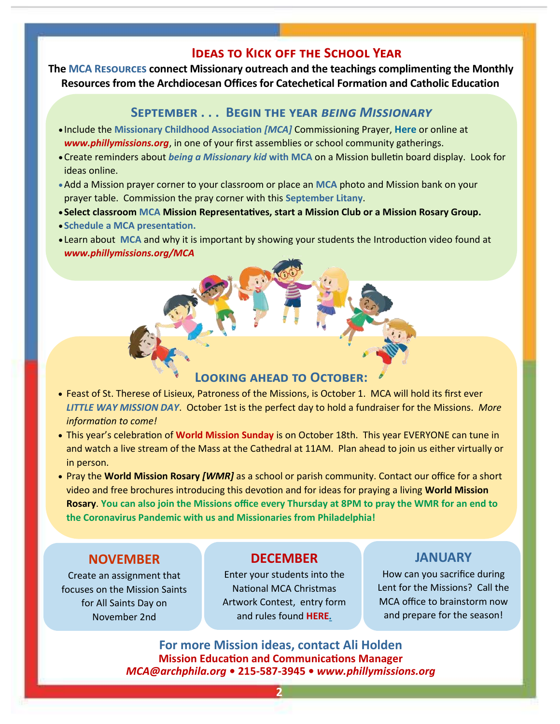#### **Ideas to Kick off the School Year**

**The MCA Resources connect Missionary outreach and the teachings complimenting the Monthly Resources from the Archdiocesan Offices for Catechetical Formation and Catholic Education** 

#### **September . . . Begin the year** *being Missionary*

- Include the **Missionary Childhood Association** *[MCA]* Commissioning Prayer, **[Here](https://phillymissions.org/wp-content/uploads/2020/09/MCA-Commissioning-Prayer.pdf)** or online at *www.phillymissions.org*, in one of your first assemblies or school community gatherings.
- •Create reminders about *being a Missionary kid* **with MCA** on a Mission bulletin board display. Look for ideas online.
- •Add a Mission prayer corner to your classroom or place an **MCA** photo and Mission bank on your prayer table. Commission the pray corner with this **[September Litany](https://phillymissions.org/wp-content/uploads/2020/09/September-Litany.pdf)**.
- **Select classroom MCA Mission Representatives, start a Mission Club or a Mission Rosary Group.**
- **Schedule a MCA presentation.**

**Pray** 

**for** 

**the** 

• Learn about **MCA** and why it is important by showing your students the Introduction video found at *www.phillymissions.org/MCA*

#### **Looking ahead to October:**

- Feast of St. Therese of Lisieux, Patroness of the Missions, is October 1. MCA will hold its first ever *LITTLE WAY MISSION DAY*. October 1st is the perfect day to hold a fundraiser for the Missions. *More information to come!*
- This year's celebration of **World Mission Sunday** is on October 18th. This year EVERYONE can tune in and watch a live stream of the Mass at the Cathedral at 11AM. Plan ahead to join us either virtually or in person.
- Pray the **World Mission Rosary** *[WMR]* as a school or parish community. Contact our office for a short video and free brochures introducing this devotion and for ideas for praying a living **World Mission Rosary**. **You can also join the Missions office every Thursday at 8PM to pray the WMR for an end to the Coronavirus Pandemic with us and Missionaries from Philadelphia!**

## **NOVEMBER**

Create an assignment that focuses on the Mission Saints for All Saints Day on November 2nd

## **DECEMBER**

Enter your students into the National MCA Christmas Artwork Contest, entry form and rules found **[HERE](https://phillymissions.org/wp-content/uploads/2020/09/2020-2021-Artwork-Entry-Form.pdf)***.*

## **JANUARY**

How can you sacrifice during Lent for the Missions? Call the MCA office to brainstorm now and prepare for the season!

**For more Mission ideas, contact Ali Holden Mission Education and Communications Manager** *MCA@archphila.org* **• 215-587-3945 •** *www.phillymissions.org*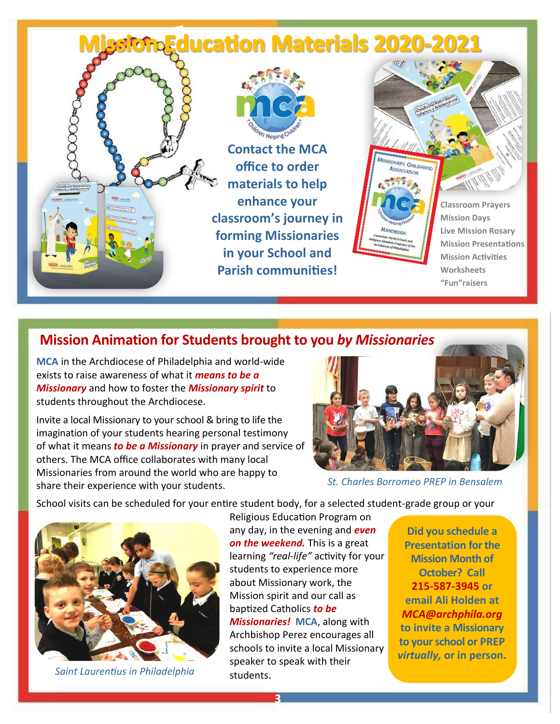## *<u> AnEducation Materials 2020-2021</u>* **Contact the MCA office to order materials to help enhance your Classroom Prayers classroom's journey in Mission Days Live Mission Rosary forming Missionaries Mission Presentations in your School and Mission Activities Parish communities! Worksheets "Fun"raisers**

## **Mission Animation for Students brought to you** *by Missionaries*

**MCA** in the Archdiocese of Philadelphia and world-wide exists to raise awareness of what it *means to be a Missionary* and how to foster the *Missionary spirit* to students throughout the Archdiocese.

Invite a local Missionary to your school & bring to life the imagination of your students hearing personal testimony of what it means *to be a Missionary* in prayer and service of others. The MCA office collaborates with many local Missionaries from around the world who are happy to share their experience with your students.



*St. Charles Borromeo PREP in Bensalem*

School visits can be scheduled for your entire student body, for a selected student-grade group or your



*Saint Laurentius in Philadelphia*

Religious Education Program on any day, in the evening and *even on the weekend.* This is a great learning *"real-life"* activity for your students to experience more about Missionary work, the Mission spirit and our call as baptized Catholics *to be Missionaries!* **MCA**, along with Archbishop Perez encourages all schools to invite a local Missionary speaker to speak with their students.

**Did you schedule a Presentation for the Mission Month of October? Call 215-587-3945 or email Ali Holden at**  *MCA@archphila.org*  **to invite a Missionary to your school or PREP**  *virtually,* **or in person.**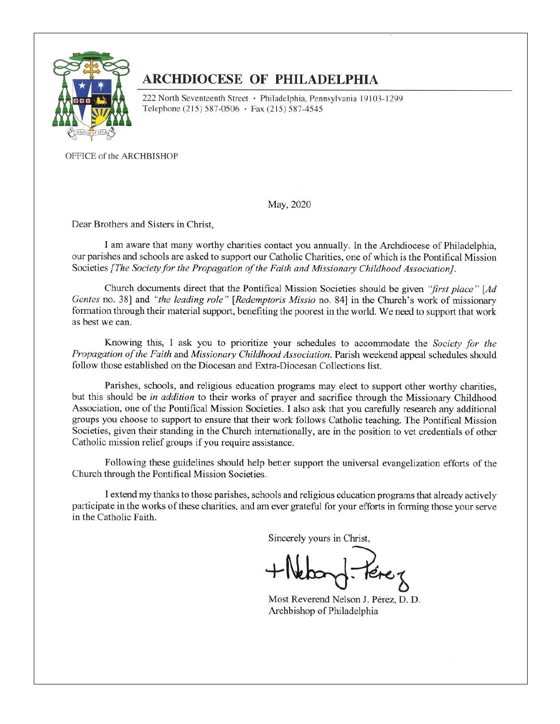

## **ARCHDIOCESE OF PHILADELPHIA**

222 North Seventeenth Street · Philadelphia, Pennsylvania 19103-1299 Telephone (215) 587-0506 · Fax (215) 587-4545

OFFICE of the ARCHBISHOP

May, 2020

Dear Brothers and Sisters in Christ,

I am aware that many worthy charities contact you annually. In the Archdiocese of Philadelphia, our parishes and schools are asked to support our Catholic Charities, one of which is the Pontifical Mission Societies [The Society for the Propagation of the Faith and Missionary Childhood Association].

Church documents direct that the Pontifical Mission Societies should be given "first place" [Ad Gentes no. 38] and "the leading role" [Redemptoris Missio no. 84] in the Church's work of missionary formation through their material support, benefiting the poorest in the world. We need to support that work as best we can.

Knowing this, I ask you to prioritize your schedules to accommodate the Society for the Propagation of the Faith and Missionary Childhood Association. Parish weekend appeal schedules should follow those established on the Diocesan and Extra-Diocesan Collections list.

Parishes, schools, and religious education programs may elect to support other worthy charities, but this should be in addition to their works of prayer and sacrifice through the Missionary Childhood Association, one of the Pontifical Mission Societies. I also ask that you carefully research any additional groups you choose to support to ensure that their work follows Catholic teaching. The Pontifical Mission Societies, given their standing in the Church internationally, are in the position to vet credentials of other Catholic mission relief groups if you require assistance.

Following these guidelines should help better support the universal evangelization efforts of the Church through the Pontifical Mission Societies.

I extend my thanks to those parishes, schools and religious education programs that already actively participate in the works of these charities, and am ever grateful for your efforts in forming those your serve in the Catholic Faith.

Sincerely yours in Christ,

Most Reverend Nelson J. Pérez, D. D. Archbishop of Philadelphia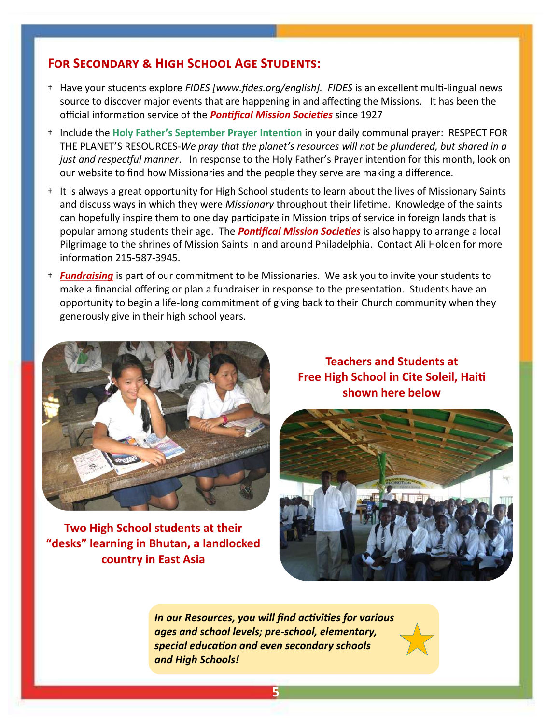#### **For Secondary & High School Age Students:**

- † Have your students explore *FIDES [www.fides.org/english]. FIDES* is an excellent multi-lingual news source to discover major events that are happening in and affecting the Missions. It has been the official information service of the *Pontifical Mission Societies* since 1927
- † Include the **Holy Father's September Prayer Intention** in your daily communal prayer: RESPECT FOR THE PLANET'S RESOURCES-*We pray that the planet's resources will not be plundered, but shared in a just and respectful manner*. In response to the Holy Father's Prayer intention for this month, look on our website to find how Missionaries and the people they serve are making a difference.
- † It is always a great opportunity for High School students to learn about the lives of Missionary Saints and discuss ways in which they were *Missionary* throughout their lifetime. Knowledge of the saints can hopefully inspire them to one day participate in Mission trips of service in foreign lands that is popular among students their age. The *Pontifical Mission Societies* is also happy to arrange a local Pilgrimage to the shrines of Mission Saints in and around Philadelphia. Contact Ali Holden for more information 215-587-3945.
- † *Fundraising* is part of our commitment to be Missionaries. We ask you to invite your students to make a financial offering or plan a fundraiser in response to the presentation. Students have an opportunity to begin a life-long commitment of giving back to their Church community when they generously give in their high school years.



**Two High School students at their "desks" learning in Bhutan, a landlocked country in East Asia**

**Teachers and Students at Free High School in Cite Soleil, Haiti shown here below** 



*In our Resources, you will find activities for various ages and school levels; pre-school, elementary, special education and even secondary schools and High Schools!*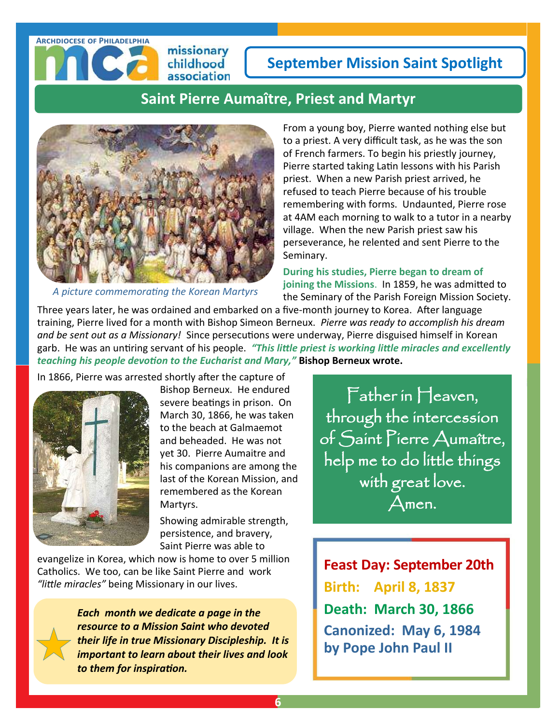## **September Mission Saint Spotlight**

## **Saint Pierre Aumaître, Priest and Martyr**



missionary childhood association

*A picture commemorating the Korean Martyrs*

From a young boy, Pierre wanted nothing else but to a priest. A very difficult task, as he was the son of French farmers. To begin his priestly journey, Pierre started taking Latin lessons with his Parish priest. When a new Parish priest arrived, he refused to teach Pierre because of his trouble remembering with forms. Undaunted, Pierre rose at 4AM each morning to walk to a tutor in a nearby village. When the new Parish priest saw his perseverance, he relented and sent Pierre to the Seminary.

**During his studies, Pierre began to dream of joining the Missions**. In 1859, he was admitted to the Seminary of the Parish Foreign Mission Society.

Three years later, he was ordained and embarked on a five-month journey to Korea. After language training, Pierre lived for a month with Bishop Simeon Berneux. *Pierre was ready to accomplish his dream and be sent out as a Missionary!* Since persecutions were underway, Pierre disguised himself in Korean garb. He was an untiring servant of his people. *"This little priest is working little miracles and excellently teaching his people devotion to the Eucharist and Mary,"* **Bishop Berneux wrote.**

In 1866, Pierre was arrested shortly after the capture of



**Archdiocese of Philadelphia**

Bishop Berneux. He endured severe beatings in prison. On March 30, 1866, he was taken to the beach at Galmaemot and beheaded. He was not yet 30. Pierre Aumaitre and his companions are among the last of the Korean Mission, and remembered as the Korean Martyrs.

Showing admirable strength, persistence, and bravery, Saint Pierre was able to

evangelize in Korea, which now is home to over 5 million Catholics. We too, can be like Saint Pierre and work *"little miracles"* being Missionary in our lives.

> *Each month we dedicate a page in the resource to a Mission Saint who devoted their life in true Missionary Discipleship. It is important to learn about their lives and look to them for inspiration.*

Father in Heaven, through the intercession of Saint Pierre Aumaître, help me to do little things with great love. Amen.

**[Feast Day:](http://www.catholic.org/saints/f_day/) September 20th Birth: April 8, 1837 Death: March 30, 1866 Canonized: May 6, 1984 by Pope John Paul II**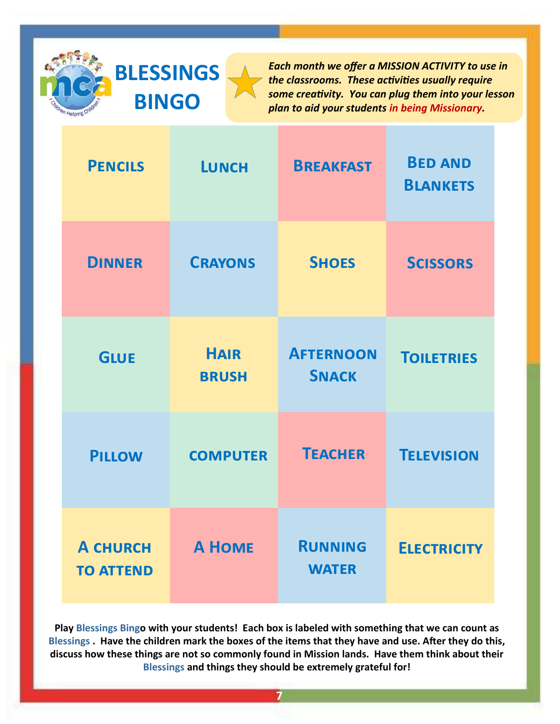# **BLESSINGS BINGO**

*Each month we offer a MISSION ACTIVITY to use in the classrooms. These activities usually require some creativity. You can plug them into your lesson plan to aid your students in being Missionary.*

| <b>PENCILS</b>                      | <b>LUNCH</b>                | <b>BREAKFAST</b>                 | <b>BED AND</b><br><b>BLANKETS</b> |
|-------------------------------------|-----------------------------|----------------------------------|-----------------------------------|
| <b>DINNER</b>                       | <b>CRAYONS</b>              | <b>SHOES</b>                     | <b>SCISSORS</b>                   |
| <b>GLUE</b>                         | <b>HAIR</b><br><b>BRUSH</b> | <b>AFTERNOON</b><br><b>SNACK</b> | <b>TOILETRIES</b>                 |
| <b>PILLOW</b>                       | <b>COMPUTER</b>             | <b>TEACHER</b>                   | <b>TELEVISION</b>                 |
| <b>A CHURCH</b><br><b>TO ATTEND</b> | <b>A HOME</b>               | <b>RUNNING</b><br><b>WATER</b>   | <b>ELECTRICITY</b>                |

**Play Blessings Bingo with your students! Each box is labeled with something that we can count as Blessings . Have the children mark the boxes of the items that they have and use. After they do this, discuss how these things are not so commonly found in Mission lands. Have them think about their Blessings and things they should be extremely grateful for!**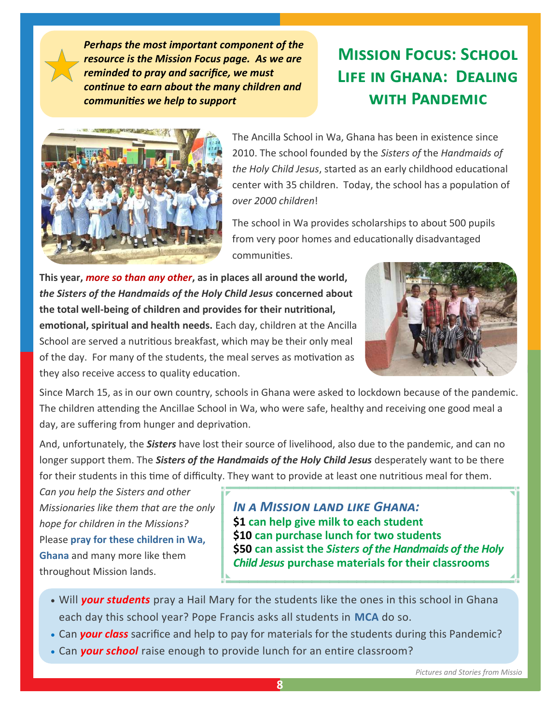*Perhaps the most important component of the resource is the Mission Focus page. As we are reminded to pray and sacrifice, we must continue to earn about the many children and communities we help to support*

## **Mission Focus: School Life in Ghana: Dealing with Pandemic**



The Ancilla School in Wa, Ghana has been in existence since 2010. The school founded by the *Sisters of* the *Handmaids of the Holy Child Jesus*, started as an early childhood educational center with 35 children. Today, the school has a population of *over 2000 children*!

The school in Wa provides scholarships to about 500 pupils from very poor homes and educationally disadvantaged communities.

**This year,** *more so than any other***, as in places all around the world,**  *the Sisters of the Handmaids of the Holy Child Jesus* **concerned about the total well-being of children and provides for their nutritional,** 

**emotional, spiritual and health needs.** Each day, children at the Ancilla School are served a nutritious breakfast, which may be their only meal of the day. For many of the students, the meal serves as motivation as they also receive access to quality education.



Since March 15, as in our own country, schools in Ghana were asked to lockdown because of the pandemic. The children attending the Ancillae School in Wa, who were safe, healthy and receiving one good meal a day, are suffering from hunger and deprivation.

And, unfortunately, the *Sisters* have lost their source of livelihood, also due to the pandemic, and can no longer support them. The *Sisters of the Handmaids of the Holy Child Jesus* desperately want to be there for their students in this time of difficulty. They want to provide at least one nutritious meal for them*.* 

*Can you help the Sisters and other Missionaries like them that are the only hope for children in the Missions?*  Please **pray for these children in Wa, Ghana** and many more like them throughout Mission lands.

*In a Mission land like Ghana:* **\$1 can help give milk to each student \$10 can purchase lunch for two students \$50 can assist the** *Sisters of the Handmaids of the Holy Child Jesus* **purchase materials for their classrooms**

- Will *your students* pray a [Hail Mary](https://missiontogether.org.uk/prayer-resources/) for the students like the ones in this school in Ghana each day this school year? Pope Francis asks all students in **MCA** do so.
- Can *your class* sacrifice and help to pay for materials for the students during this Pandemic?
- Can *your school* raise enough to provide lunch for an entire classroom?